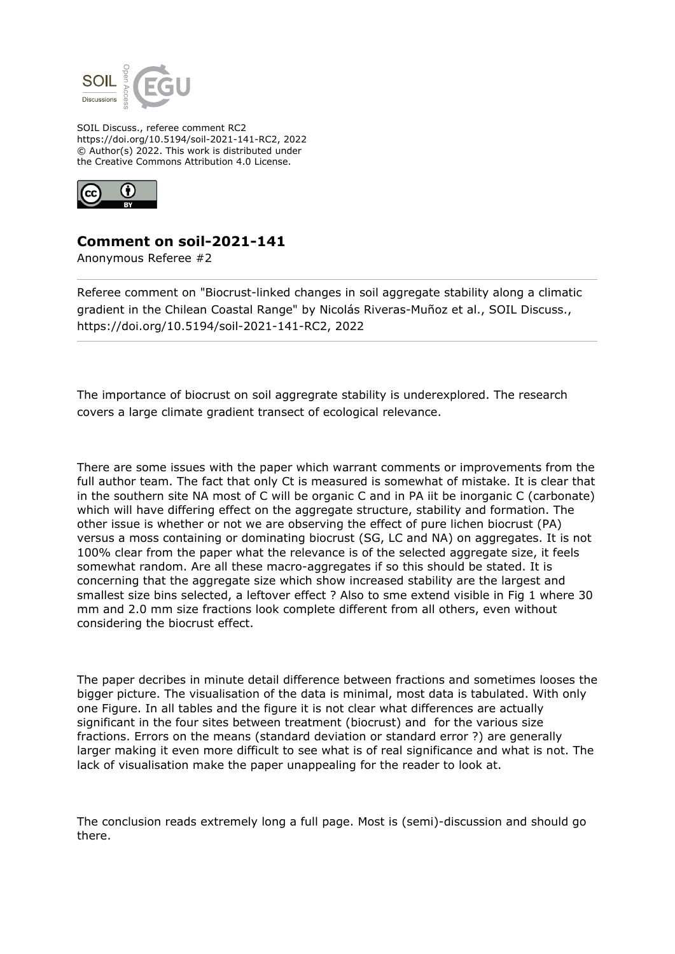

SOIL Discuss., referee comment RC2 https://doi.org/10.5194/soil-2021-141-RC2, 2022 © Author(s) 2022. This work is distributed under the Creative Commons Attribution 4.0 License.



## **Comment on soil-2021-141**

Anonymous Referee #2

Referee comment on "Biocrust-linked changes in soil aggregate stability along a climatic gradient in the Chilean Coastal Range" by Nicolás Riveras-Muñoz et al., SOIL Discuss., https://doi.org/10.5194/soil-2021-141-RC2, 2022

The importance of biocrust on soil aggregrate stability is underexplored. The research covers a large climate gradient transect of ecological relevance.

There are some issues with the paper which warrant comments or improvements from the full author team. The fact that only Ct is measured is somewhat of mistake. It is clear that in the southern site NA most of C will be organic C and in PA iit be inorganic C (carbonate) which will have differing effect on the aggregate structure, stability and formation. The other issue is whether or not we are observing the effect of pure lichen biocrust (PA) versus a moss containing or dominating biocrust (SG, LC and NA) on aggregates. It is not 100% clear from the paper what the relevance is of the selected aggregate size, it feels somewhat random. Are all these macro-aggregates if so this should be stated. It is concerning that the aggregate size which show increased stability are the largest and smallest size bins selected, a leftover effect ? Also to sme extend visible in Fig 1 where 30 mm and 2.0 mm size fractions look complete different from all others, even without considering the biocrust effect.

The paper decribes in minute detail difference between fractions and sometimes looses the bigger picture. The visualisation of the data is minimal, most data is tabulated. With only one Figure. In all tables and the figure it is not clear what differences are actually significant in the four sites between treatment (biocrust) and for the various size fractions. Errors on the means (standard deviation or standard error ?) are generally larger making it even more difficult to see what is of real significance and what is not. The lack of visualisation make the paper unappealing for the reader to look at.

The conclusion reads extremely long a full page. Most is (semi)-discussion and should go there.